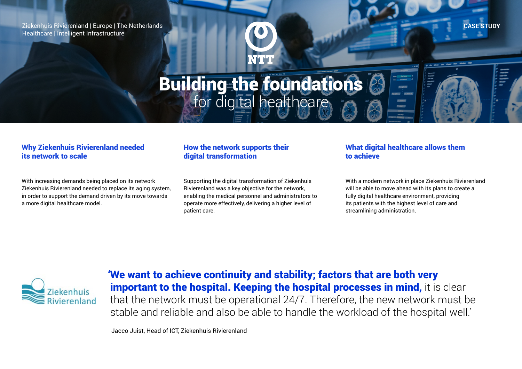Ziekenhuis Rivierenland | Europe | The Netherlands Healthcare | Intelligent Infrastructure



# Building the foundations for digital healthcare

### Why Ziekenhuis Rivierenland needed its network to scale

With increasing demands being placed on its network Ziekenhuis Rivierenland needed to replace its aging system, in order to support the demand driven by its move towards a more digital healthcare model.

## How the network supports their digital transformation

Supporting the digital transformation of Ziekenhuis Rivierenland was a key objective for the network, enabling the medical personnel and administrators to operate more effectively, delivering a higher level of patient care.

## What digital healthcare allows them to achieve

With a modern network in place Ziekenhuis Rivierenland will be able to move ahead with its plans to create a fully digital healthcare environment, providing its patients with the highest level of care and streamlining administration.

**CASE STUDY**



'We want to achieve continuity and stability; factors that are both very important to the hospital. Keeping the hospital processes in mind, it is clear that the network must be operational 24/7. Therefore, the new network must be stable and reliable and also be able to handle the workload of the hospital well.'

Jacco Juist, Head of ICT, Ziekenhuis Rivierenland